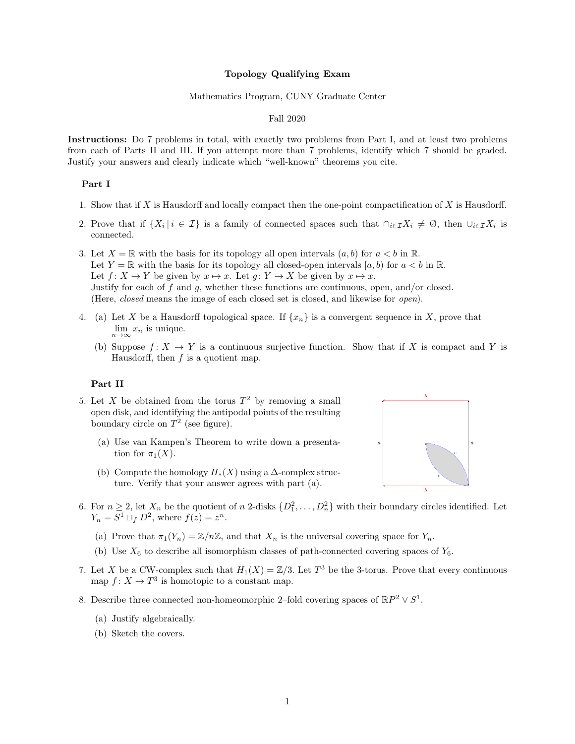### Topology Qualifying Exam

#### Mathematics Program, CUNY Graduate Center

### Fall 2020

Instructions: Do 7 problems in total, with exactly two problems from Part I, and at least two problems from each of Parts II and III. If you attempt more than 7 problems, identify which 7 should be graded. Justify your answers and clearly indicate which "well-known" theorems you cite.

## Part I

- 1. Show that if X is Hausdorff and locally compact then the one-point compactification of X is Hausdorff.
- 2. Prove that if  $\{X_i \mid i \in \mathcal{I}\}\$ is a family of connected spaces such that  $\bigcap_{i \in \mathcal{I}} X_i \neq \emptyset$ , then  $\bigcup_{i \in \mathcal{I}} X_i$  is connected.
- 3. Let  $X = \mathbb{R}$  with the basis for its topology all open intervals  $(a, b)$  for  $a < b$  in  $\mathbb{R}$ . Let  $Y = \mathbb{R}$  with the basis for its topology all closed-open intervals [a, b] for  $a < b$  in  $\mathbb{R}$ . Let  $f: X \to Y$  be given by  $x \mapsto x$ . Let  $g: Y \to X$  be given by  $x \mapsto x$ . Justify for each of f and q, whether these functions are continuous, open, and/or closed. (Here, closed means the image of each closed set is closed, and likewise for open).
- 4. (a) Let X be a Hausdorff topological space. If  $\{x_n\}$  is a convergent sequence in X, prove that  $\lim_{n\to\infty}x_n$  is unique.
	- (b) Suppose  $f: X \to Y$  is a continuous surjective function. Show that if X is compact and Y is Hausdorff, then  $f$  is a quotient map.

### Part II

- 5. Let X be obtained from the torus  $T^2$  by removing a small open disk, and identifying the antipodal points of the resulting boundary circle on  $T^2$  (see figure).
	- (a) Use van Kampen's Theorem to write down a presentation for  $\pi_1(X)$ .
	- (b) Compute the homology  $H_*(X)$  using a  $\Delta$ -complex structure. Verify that your answer agrees with part (a).



- 6. For  $n \geq 2$ , let  $X_n$  be the quotient of n 2-disks  $\{D_1^2, \ldots, D_n^2\}$  with their boundary circles identified. Let  $Y_n = S^1 \sqcup_f D^2$ , where  $f(z) = z^n$ .
	- (a) Prove that  $\pi_1(Y_n) = \mathbb{Z}/n\mathbb{Z}$ , and that  $X_n$  is the universal covering space for  $Y_n$ .
	- (b) Use  $X_6$  to describe all isomorphism classes of path-connected covering spaces of  $Y_6$ .
- 7. Let X be a CW-complex such that  $H_1(X) = \mathbb{Z}/3$ . Let  $T^3$  be the 3-torus. Prove that every continuous map  $f: X \to T^3$  is homotopic to a constant map.
- 8. Describe three connected non-homeomorphic 2-fold covering spaces of  $\mathbb{R}P^2 \vee S^1$ .
	- (a) Justify algebraically.
	- (b) Sketch the covers.